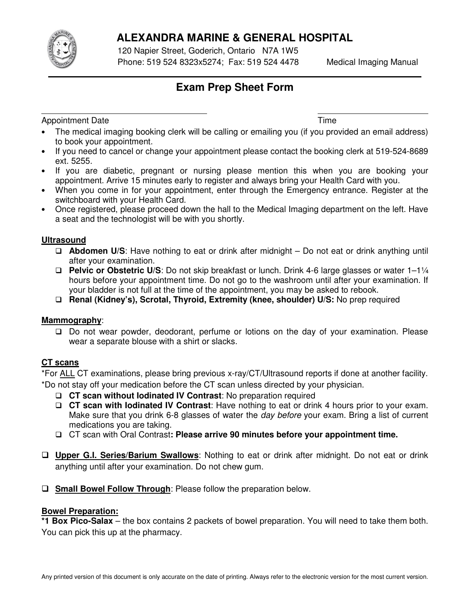

 $\overline{\phantom{a}}$ 

# **ALEXANDRA MARINE & GENERAL HOSPITAL**

 120 Napier Street, Goderich, Ontario N7A 1W5 Phone: 519 524 8323x5274; Fax: 519 524 4478 Medical Imaging Manual

# **Exam Prep Sheet Form**

Appointment Date **Time** 

- The medical imaging booking clerk will be calling or emailing you (if you provided an email address) to book your appointment.
- If you need to cancel or change your appointment please contact the booking clerk at 519-524-8689 ext. 5255.
- If you are diabetic, pregnant or nursing please mention this when you are booking your appointment. Arrive 15 minutes early to register and always bring your Health Card with you.
- When you come in for your appointment, enter through the Emergency entrance. Register at the switchboard with your Health Card.
- Once registered, please proceed down the hall to the Medical Imaging department on the left. Have a seat and the technologist will be with you shortly.

### **Ultrasound**

- **Abdomen U/S**: Have nothing to eat or drink after midnight Do not eat or drink anything until after your examination.
- **Pelvic or Obstetric U/S**: Do not skip breakfast or lunch. Drink 4-6 large glasses or water 1–1¼ hours before your appointment time. Do not go to the washroom until after your examination. If your bladder is not full at the time of the appointment, you may be asked to rebook.

**Renal (Kidney's), Scrotal, Thyroid, Extremity (knee, shoulder) U/S:** No prep required

### **Mammography**:

 Do not wear powder, deodorant, perfume or lotions on the day of your examination. Please wear a separate blouse with a shirt or slacks.

# **CT scans**

\*For ALL CT examinations, please bring previous x-ray/CT/Ultrasound reports if done at another facility. \*Do not stay off your medication before the CT scan unless directed by your physician.

- **CT scan without Iodinated IV Contrast**: No preparation required
- **CT scan with Iodinated IV Contrast**: Have nothing to eat or drink 4 hours prior to your exam. Make sure that you drink 6-8 glasses of water the *day before* your exam. Bring a list of current medications you are taking.
- CT scan with Oral Contrast**: Please arrive 90 minutes before your appointment time.**
- **Upper G.I. Series/Barium Swallows**: Nothing to eat or drink after midnight. Do not eat or drink anything until after your examination. Do not chew gum.
- **Small Bowel Follow Through**: Please follow the preparation below.

# **Bowel Preparation:**

**\*1 Box Pico-Salax** – the box contains 2 packets of bowel preparation. You will need to take them both. You can pick this up at the pharmacy.